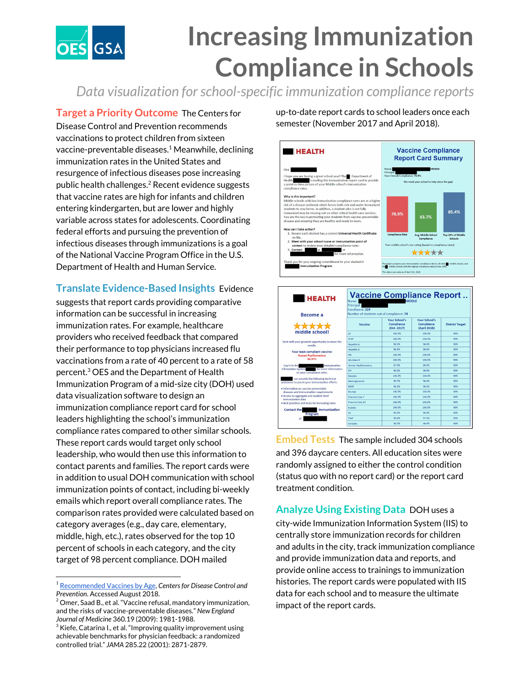

## **Increasing Immunization Compliance in Schools**

*Data visualization forschool-specific immunization compliance reports*

**Target a Priority Outcome** The Centers for Disease Control and Prevention recommends vaccinations to protect children from sixteen vaccine-preventable diseases.<sup>1</sup> Meanwhile, declining immunization rates in the United States and resurgence of infectious diseases pose increasing public health challenges.<sup>2</sup> Recent evidence suggests that vaccine rates are high for infants and children entering kindergarten, but are lower and highly variable across states for adolescents. Coordinating federal efforts and pursuing the prevention of infectious diseases through immunizations is a goal of the National Vaccine Program Office in the U.S. Department of Health and Human Service.

**Translate Evidence-Based Insights** Evidence

suggests that report cards providing comparative information can be successful in increasing immunization rates. For example, healthcare providers who received feedback that compared their performance to top physicians increased flu vaccinations from a rate of 40 percent to a rate of 58 percent.<sup>3</sup> OES and the Department of Health Immunization Program of a mid-size city (DOH) used data visualization software to design an immunization compliance report card for school leaders highlighting the school's immunization compliance rates compared to other similar schools. These report cards would target only school leadership, who would then use this information to contact parents and families. The report cards were in addition to usual DOH communication with school immunization points of contact, including bi-weekly emails which report overall compliance rates. The comparison rates provided were calculated based on category averages (e.g., day care, elementary, middle, high, etc.), rates observed for the top 10 percent of schools in each category, and the city target of 98 percent compliance. DOH mailed

up-to-date report cards to school leaders once each semester (November 2017 and April 2018).



| <b>HEALTH</b><br>Become a                                                                                                                                                                                                                                | <b>Vaccine Compliance Report</b><br>Name:<br><b>MIDDLE</b><br>Principal<br>Enrollment: 324<br>Number of students out of compliance: 74 |                                            |                                             |                        |
|----------------------------------------------------------------------------------------------------------------------------------------------------------------------------------------------------------------------------------------------------------|----------------------------------------------------------------------------------------------------------------------------------------|--------------------------------------------|---------------------------------------------|------------------------|
|                                                                                                                                                                                                                                                          | Vaccine                                                                                                                                | Your School's<br>Compliance<br>(Oct. 2017) | Your School's<br>Compliance<br>(April 2018) | <b>District Target</b> |
| middle school!                                                                                                                                                                                                                                           | DT                                                                                                                                     | 100.0%                                     | 100.0%                                      | 98%                    |
| Start with your greatest opportunity to move the<br>needle.                                                                                                                                                                                              | <b>DTaP</b>                                                                                                                            | 100.0%                                     | 100.0%                                      | 98%                    |
|                                                                                                                                                                                                                                                          | <b>Hepatitis A</b>                                                                                                                     | 98.5%                                      | 98.4%                                       | 98%                    |
| Your least-compliant vaccine:<br><b>Human Papillomavirus</b><br>80.37%                                                                                                                                                                                   | Hepatitis B                                                                                                                            | 98.8%                                      | 98.8%                                       | <b>GONG</b>            |
|                                                                                                                                                                                                                                                          | Hih                                                                                                                                    | 100.0%                                     | 100.0%                                      | <b>GRAK</b>            |
|                                                                                                                                                                                                                                                          | <b>Hib-MenCY</b>                                                                                                                       | 100.0%                                     | 100.0%                                      | 98%                    |
| Log in to the<br>Immunization<br>for more information<br><b>Information System</b><br>on your compliance rates.<br>can provide the following technical<br>assistance to you in your immunization efforts:                                                | Human Papillomavirus                                                                                                                   | 87.0%                                      | an 4%                                       | <b>GRAK</b>            |
|                                                                                                                                                                                                                                                          | <b>IPV</b>                                                                                                                             | 96.3%                                      | 96.6%                                       | 98%                    |
|                                                                                                                                                                                                                                                          | Mootlot                                                                                                                                | 100.0%                                     | 100.0%                                      | 98%                    |
|                                                                                                                                                                                                                                                          | Meningococcal                                                                                                                          | 99.7%                                      | 98.4%                                       | 98%                    |
| · Information on vaccine preventable<br>diseases and immunization requirements<br>· Access to aggregate and student-level<br>immunization data<br>. Best practices and tools for increasing rates<br>Immunization<br><b>Contact the</b><br>Program<br>at | <b>MMR</b>                                                                                                                             | 98.1%                                      | 98.1%                                       | 98%                    |
|                                                                                                                                                                                                                                                          | Mumos                                                                                                                                  | 100.0%                                     | 100.0%                                      | 98%                    |
|                                                                                                                                                                                                                                                          | Pneumo Coni 7                                                                                                                          | 100.0%                                     | 100.0%                                      | <b>GRAK</b>            |
|                                                                                                                                                                                                                                                          | Pneumo Conj 13                                                                                                                         | 100.0%                                     | 100.0%                                      | 98%                    |
|                                                                                                                                                                                                                                                          | Rubella                                                                                                                                | 100.0%                                     | 100.0%                                      | 98%                    |
|                                                                                                                                                                                                                                                          | Td                                                                                                                                     | 99.1%                                      | 99.4%                                       | 98%                    |
|                                                                                                                                                                                                                                                          | TdaP                                                                                                                                   | 98.8%                                      | 97.2%                                       | 98%                    |
|                                                                                                                                                                                                                                                          | <b>Contract Contract</b>                                                                                                               | <b>AA FAI</b>                              | <b>COLLEGE</b>                              | <b>AMAY</b>            |

**Embed Tests** The sample included 304 schools and 396 daycare centers. All education sites were randomly assigned to either the control condition (status quo with no report card) or the report card treatment condition.

**Analyze Using Existing Data** DOH uses a city-wide Immunization Information System (IIS) to centrally store immunization records for children and adults in the city, track immunization compliance and provide immunization data and reports, and provide online access to trainings to immunization histories. The report cards were populated with IIS data for each school and to measure the ultimate impact of the report cards.

<sup>1</sup> [Recommended](https://www.cdc.gov/vaccines/vpd/vaccines-age.html) Vaccines by Age, *Centersfor Disease Control and Prevention*. Accessed August 2018.

 $2^2$  Omer, Saad B., et al. "Vaccine refusal, mandatory immunization, and the risks of vaccine-preventable diseases." *New England Journal of Medicine* 360.19 (2009): 1981-1988.

 $^3$  Kiefe, Catarina I., et al. "Improving quality improvement using achievable benchmarks for physician feedback: a randomized controlled trial." *JAMA* 285.22 (2001): 2871-2879.